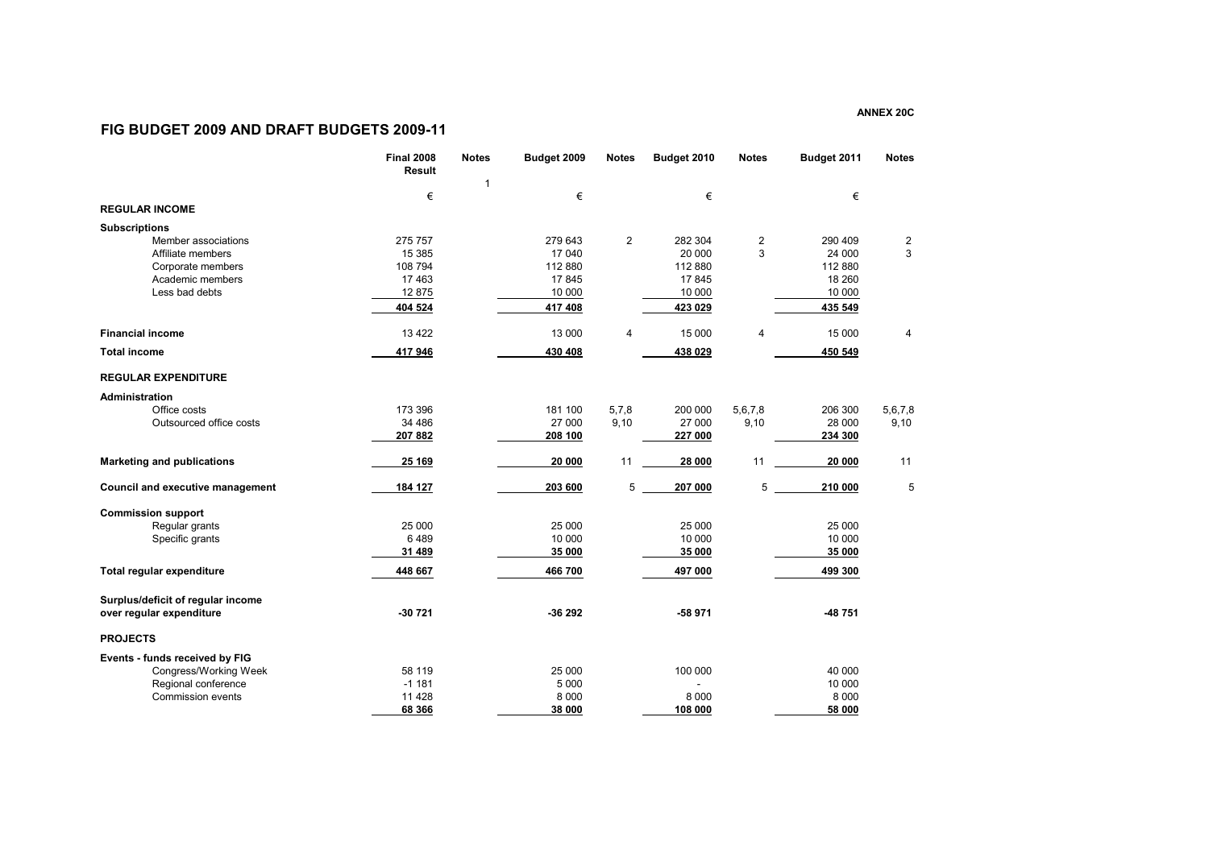## **FIG BUDGET 2009 AND DRAFT BUDGETS 2009-11**

|                                   | <b>Final 2008</b><br>Result | <b>Notes</b> | Budget 2009 | <b>Notes</b> | Budget 2010 | <b>Notes</b>   | Budget 2011 | <b>Notes</b> |
|-----------------------------------|-----------------------------|--------------|-------------|--------------|-------------|----------------|-------------|--------------|
|                                   | €                           | 1            | €           |              | €           |                | €           |              |
| <b>REGULAR INCOME</b>             |                             |              |             |              |             |                |             |              |
| <b>Subscriptions</b>              |                             |              |             |              |             |                |             |              |
| Member associations               | 275 757                     |              | 279 643     | 2            | 282 304     | $\overline{2}$ | 290 409     | 2            |
| Affiliate members                 | 15 3 85                     |              | 17 040      |              | 20 000      | 3              | 24 000      | 3            |
| Corporate members                 | 108 794                     |              | 112 880     |              | 112 880     |                | 112 880     |              |
| Academic members                  | 17463                       |              | 17845       |              | 17845       |                | 18 260      |              |
| Less bad debts                    | 12875                       |              | 10 000      |              | 10 000      |                | 10 000      |              |
|                                   | 404 524                     |              | 417 408     |              | 423 029     |                | 435 549     |              |
| <b>Financial income</b>           | 13 4 22                     |              | 13 000      | 4            | 15 000      | $\overline{4}$ | 15 000      | 4            |
| <b>Total income</b>               | 417 946                     |              | 430 408     |              | 438 029     |                | 450 549     |              |
| <b>REGULAR EXPENDITURE</b>        |                             |              |             |              |             |                |             |              |
| <b>Administration</b>             |                             |              |             |              |             |                |             |              |
| Office costs                      | 173 396                     |              | 181 100     | 5,7,8        | 200 000     | 5,6,7,8        | 206 300     | 5,6,7,8      |
| Outsourced office costs           | 34 486                      |              | 27 000      | 9,10         | 27 000      | 9,10           | 28 000      | 9,10         |
|                                   | 207 882                     |              | 208 100     |              | 227 000     |                | 234 300     |              |
| <b>Marketing and publications</b> | 25 169                      |              | 20 000      | 11           | 28 000      | 11             | 20 000      | 11           |
| Council and executive management  | 184 127                     |              | 203 600     | 5            | 207 000     | 5              | 210 000     | 5            |
| <b>Commission support</b>         |                             |              |             |              |             |                |             |              |
| Regular grants                    | 25 000                      |              | 25 000      |              | 25 000      |                | 25 000      |              |
| Specific grants                   | 6489                        |              | 10 000      |              | 10 000      |                | 10 000      |              |
|                                   | 31 489                      |              | 35 000      |              | 35 000      |                | 35 000      |              |
| Total regular expenditure         | 448 667                     |              | 466 700     |              | 497 000     |                | 499 300     |              |
| Surplus/deficit of regular income |                             |              |             |              |             |                |             |              |
| over regular expenditure          | $-30721$                    |              | -36 292     |              | -58 971     |                | -48 751     |              |
| <b>PROJECTS</b>                   |                             |              |             |              |             |                |             |              |
| Events - funds received by FIG    |                             |              |             |              |             |                |             |              |
| Congress/Working Week             | 58 119                      |              | 25 000      |              | 100 000     |                | 40 000      |              |
| Regional conference               | $-1181$                     |              | 5 0 0 0     |              |             |                | 10 000      |              |
| <b>Commission events</b>          | 11 4 28                     |              | 8 0 0 0     |              | 8 0 0 0     |                | 8 0 0 0     |              |
|                                   | 68 366                      |              | 38 000      |              | 108 000     |                | 58 000      |              |

**ANNEX 20C**